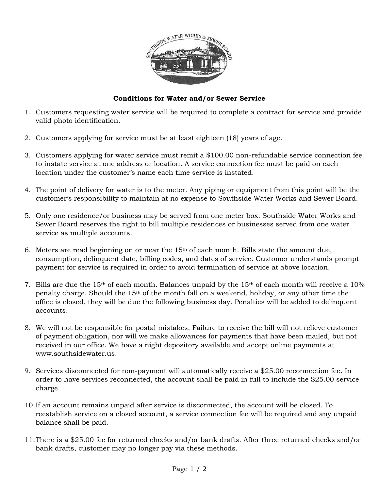

## **Conditions for Water and/or Sewer Service**

- 1. Customers requesting water service will be required to complete a contract for service and provide valid photo identification.
- 2. Customers applying for service must be at least eighteen (18) years of age.
- 3. Customers applying for water service must remit a \$100.00 non-refundable service connection fee to instate service at one address or location. A service connection fee must be paid on each location under the customer's name each time service is instated.
- 4. The point of delivery for water is to the meter. Any piping or equipment from this point will be the customer's responsibility to maintain at no expense to Southside Water Works and Sewer Board.
- 5. Only one residence/or business may be served from one meter box. Southside Water Works and Sewer Board reserves the right to bill multiple residences or businesses served from one water service as multiple accounts.
- 6. Meters are read beginning on or near the  $15<sup>th</sup>$  of each month. Bills state the amount due, consumption, delinquent date, billing codes, and dates of service. Customer understands prompt payment for service is required in order to avoid termination of service at above location.
- 7. Bills are due the 15<sup>th</sup> of each month. Balances unpaid by the 15<sup>th</sup> of each month will receive a 10% penalty charge. Should the 15th of the month fall on a weekend, holiday, or any other time the office is closed, they will be due the following business day. Penalties will be added to delinquent accounts.
- 8. We will not be responsible for postal mistakes. Failure to receive the bill will not relieve customer of payment obligation, nor will we make allowances for payments that have been mailed, but not received in our office. We have a night depository available and accept online payments at www.southsidewater.us.
- 9. Services disconnected for non-payment will automatically receive a \$25.00 reconnection fee. In order to have services reconnected, the account shall be paid in full to include the \$25.00 service charge.
- 10.If an account remains unpaid after service is disconnected, the account will be closed. To reestablish service on a closed account, a service connection fee will be required and any unpaid balance shall be paid.
- 11.There is a \$25.00 fee for returned checks and/or bank drafts. After three returned checks and/or bank drafts, customer may no longer pay via these methods.